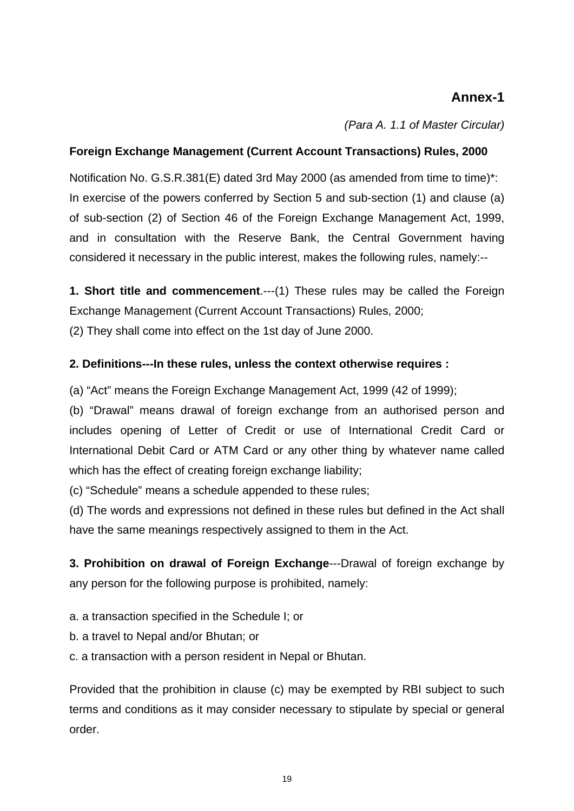## **Annex-1**

*(Para A. 1.1 of Master Circular)*

### **Foreign Exchange Management (Current Account Transactions) Rules, 2000**

Notification No. G.S.R.381(E) dated 3rd May 2000 (as amended from time to time)\*: In exercise of the powers conferred by Section 5 and sub-section (1) and clause (a) of sub-section (2) of Section 46 of the Foreign Exchange Management Act, 1999, and in consultation with the Reserve Bank, the Central Government having considered it necessary in the public interest, makes the following rules, namely:--

**1. Short title and commencement**.---(1) These rules may be called the Foreign Exchange Management (Current Account Transactions) Rules, 2000;

(2) They shall come into effect on the 1st day of June 2000.

### **2. Definitions---In these rules, unless the context otherwise requires :**

(a) "Act" means the Foreign Exchange Management Act, 1999 (42 of 1999);

(b) "Drawal" means drawal of foreign exchange from an authorised person and includes opening of Letter of Credit or use of International Credit Card or International Debit Card or ATM Card or any other thing by whatever name called which has the effect of creating foreign exchange liability;

(c) "Schedule" means a schedule appended to these rules;

(d) The words and expressions not defined in these rules but defined in the Act shall have the same meanings respectively assigned to them in the Act.

**3. Prohibition on drawal of Foreign Exchange**---Drawal of foreign exchange by any person for the following purpose is prohibited, namely:

a. a transaction specified in the Schedule I; or

b. a travel to Nepal and/or Bhutan; or

c. a transaction with a person resident in Nepal or Bhutan.

Provided that the prohibition in clause (c) may be exempted by RBI subject to such terms and conditions as it may consider necessary to stipulate by special or general order.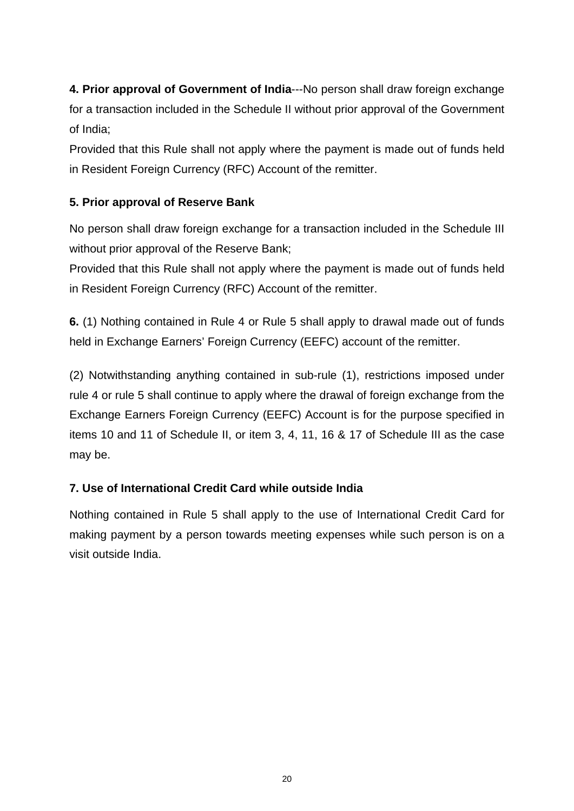**4. Prior approval of Government of India**---No person shall draw foreign exchange for a transaction included in the Schedule II without prior approval of the Government of India;

Provided that this Rule shall not apply where the payment is made out of funds held in Resident Foreign Currency (RFC) Account of the remitter.

## **5. Prior approval of Reserve Bank**

No person shall draw foreign exchange for a transaction included in the Schedule III without prior approval of the Reserve Bank;

Provided that this Rule shall not apply where the payment is made out of funds held in Resident Foreign Currency (RFC) Account of the remitter.

**6.** (1) Nothing contained in Rule 4 or Rule 5 shall apply to drawal made out of funds held in Exchange Earners' Foreign Currency (EEFC) account of the remitter.

(2) Notwithstanding anything contained in sub-rule (1), restrictions imposed under rule 4 or rule 5 shall continue to apply where the drawal of foreign exchange from the Exchange Earners Foreign Currency (EEFC) Account is for the purpose specified in items 10 and 11 of Schedule II, or item 3, 4, 11, 16 & 17 of Schedule III as the case may be.

## **7. Use of International Credit Card while outside India**

Nothing contained in Rule 5 shall apply to the use of International Credit Card for making payment by a person towards meeting expenses while such person is on a visit outside India.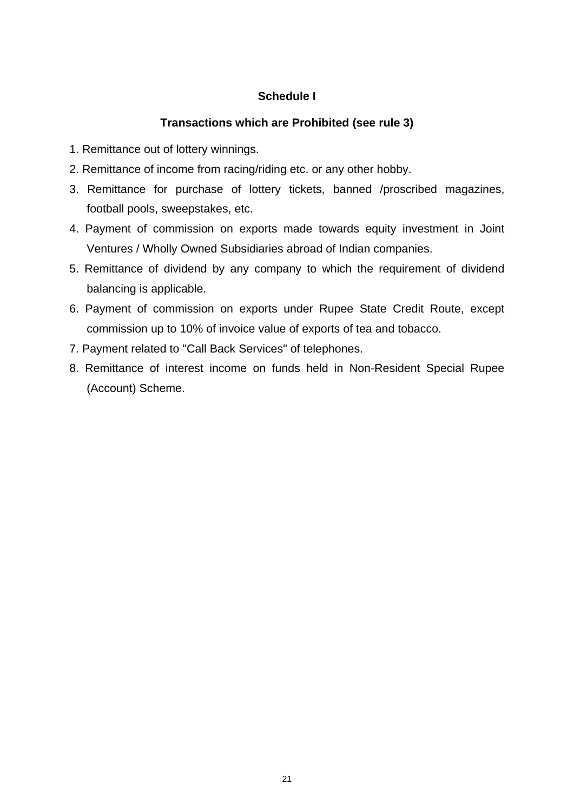## **Schedule I**

## **Transactions which are Prohibited (see rule 3)**

- 1. Remittance out of lottery winnings.
- 2. Remittance of income from racing/riding etc. or any other hobby.
- 3. Remittance for purchase of lottery tickets, banned /proscribed magazines, football pools, sweepstakes, etc.
- 4. Payment of commission on exports made towards equity investment in Joint Ventures / Wholly Owned Subsidiaries abroad of Indian companies.
- 5. Remittance of dividend by any company to which the requirement of dividend balancing is applicable.
- 6. Payment of commission on exports under Rupee State Credit Route, except commission up to 10% of invoice value of exports of tea and tobacco.
- 7. Payment related to "Call Back Services" of telephones.
- 8. Remittance of interest income on funds held in Non-Resident Special Rupee (Account) Scheme.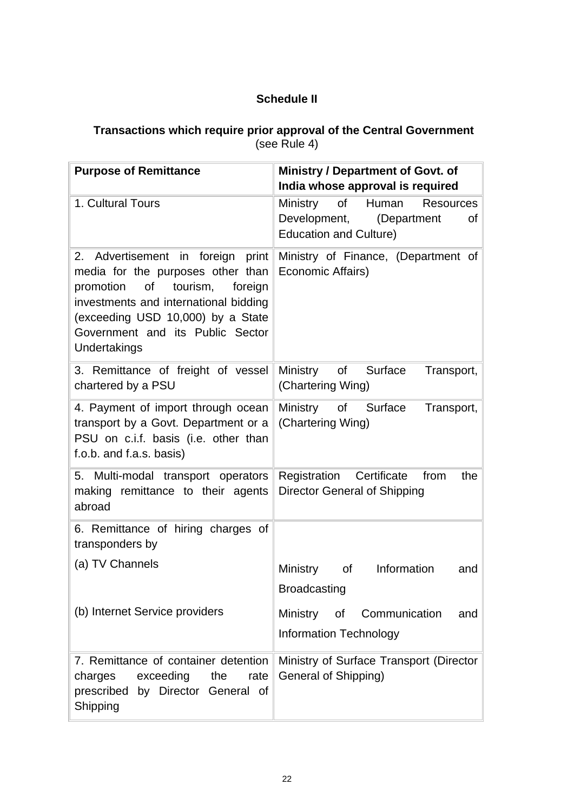## **Schedule II**

### **Transactions which require prior approval of the Central Government**  (see Rule 4)

| <b>Purpose of Remittance</b>                                                                                                                                                                                                                       | Ministry / Department of Govt. of<br>India whose approval is required                                             |
|----------------------------------------------------------------------------------------------------------------------------------------------------------------------------------------------------------------------------------------------------|-------------------------------------------------------------------------------------------------------------------|
| 1. Cultural Tours                                                                                                                                                                                                                                  | Ministry<br>Human<br>of<br><b>Resources</b><br>Development,<br>(Department<br>of<br><b>Education and Culture)</b> |
| Advertisement in foreign print<br>2.<br>media for the purposes other than<br>promotion of<br>tourism,<br>foreign<br>investments and international bidding<br>(exceeding USD 10,000) by a State<br>Government and its Public Sector<br>Undertakings | Ministry of Finance, (Department of<br>Economic Affairs)                                                          |
| 3. Remittance of freight of vessel<br>chartered by a PSU                                                                                                                                                                                           | Ministry of Surface<br>Transport,<br>(Chartering Wing)                                                            |
| 4. Payment of import through ocean<br>transport by a Govt. Department or a<br>PSU on c.i.f. basis (i.e. other than<br>f.o.b. and f.a.s. basis)                                                                                                     | Ministry of Surface<br>Transport,<br>(Chartering Wing)                                                            |
| 5. Multi-modal transport operators<br>making remittance to their agents<br>abroad                                                                                                                                                                  | Registration Certificate<br>from<br>the<br>Director General of Shipping                                           |
| 6. Remittance of hiring charges of<br>transponders by                                                                                                                                                                                              |                                                                                                                   |
| (a) TV Channels                                                                                                                                                                                                                                    | Information<br>Ministry of<br>and<br><b>Broadcasting</b>                                                          |
| (b) Internet Service providers                                                                                                                                                                                                                     | Ministry<br>Communication<br>of<br>and<br><b>Information Technology</b>                                           |
| 7. Remittance of container detention<br>exceeding<br>the<br>charges<br>rate<br>prescribed by Director General of<br>Shipping                                                                                                                       | Ministry of Surface Transport (Director<br>General of Shipping)                                                   |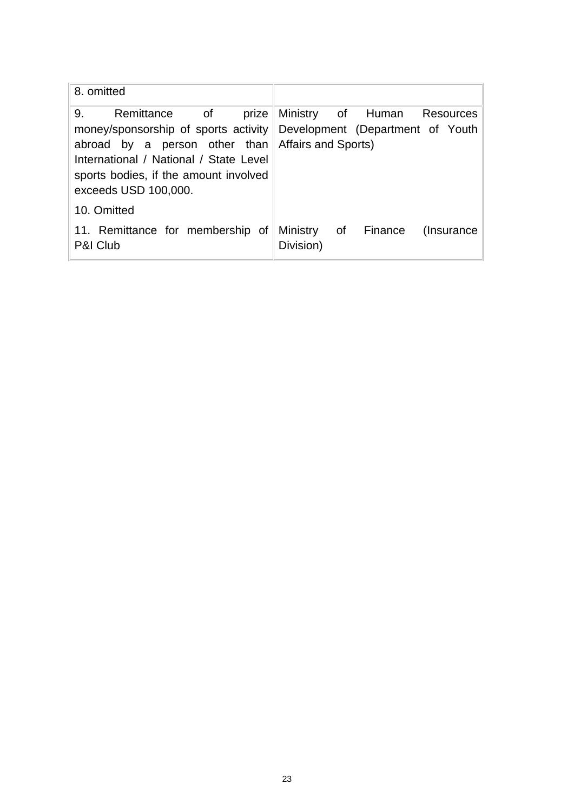| 8. omitted                                                                                                                                                         |                                                                                                                          |
|--------------------------------------------------------------------------------------------------------------------------------------------------------------------|--------------------------------------------------------------------------------------------------------------------------|
| 9.<br>abroad by a person other than Affairs and Sports)<br>International / National / State Level<br>sports bodies, if the amount involved<br>exceeds USD 100,000. | Remittance of prize Ministry of Human Resources<br>money/sponsorship of sports activity Development (Department of Youth |
| 10. Omitted                                                                                                                                                        |                                                                                                                          |
| P&I Club                                                                                                                                                           | 11. Remittance for membership of Ministry of Finance (Insurance<br>Division)                                             |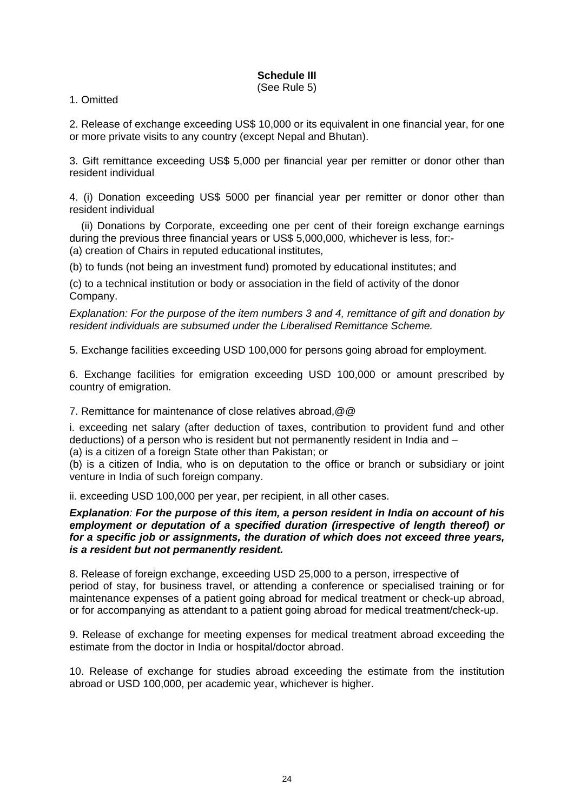# **Schedule III**

(See Rule 5)

#### 1. Omitted

2. Release of exchange exceeding US\$ 10,000 or its equivalent in one financial year, for one or more private visits to any country (except Nepal and Bhutan).

3. Gift remittance exceeding US\$ 5,000 per financial year per remitter or donor other than resident individual

4. (i) Donation exceeding US\$ 5000 per financial year per remitter or donor other than resident individual

 (ii) Donations by Corporate, exceeding one per cent of their foreign exchange earnings during the previous three financial years or US\$ 5,000,000, whichever is less, for:- (a) creation of Chairs in reputed educational institutes,

(b) to funds (not being an investment fund) promoted by educational institutes; and

(c) to a technical institution or body or association in the field of activity of the donor Company.

*Explanation: For the purpose of the item numbers 3 and 4, remittance of gift and donation by resident individuals are subsumed under the Liberalised Remittance Scheme.* 

5. Exchange facilities exceeding USD 100,000 for persons going abroad for employment.

6. Exchange facilities for emigration exceeding USD 100,000 or amount prescribed by country of emigration.

7. Remittance for maintenance of close relatives abroad,@@

i. exceeding net salary (after deduction of taxes, contribution to provident fund and other deductions) of a person who is resident but not permanently resident in India and –

(a) is a citizen of a foreign State other than Pakistan; or

(b) is a citizen of India, who is on deputation to the office or branch or subsidiary or joint venture in India of such foreign company.

ii. exceeding USD 100,000 per year, per recipient, in all other cases.

#### *Explanation: For the purpose of this item, a person resident in India on account of his employment or deputation of a specified duration (irrespective of length thereof) or for a specific job or assignments, the duration of which does not exceed three years, is a resident but not permanently resident.*

8. Release of foreign exchange, exceeding USD 25,000 to a person, irrespective of period of stay, for business travel, or attending a conference or specialised training or for maintenance expenses of a patient going abroad for medical treatment or check-up abroad, or for accompanying as attendant to a patient going abroad for medical treatment/check-up.

9. Release of exchange for meeting expenses for medical treatment abroad exceeding the estimate from the doctor in India or hospital/doctor abroad.

10. Release of exchange for studies abroad exceeding the estimate from the institution abroad or USD 100,000, per academic year, whichever is higher.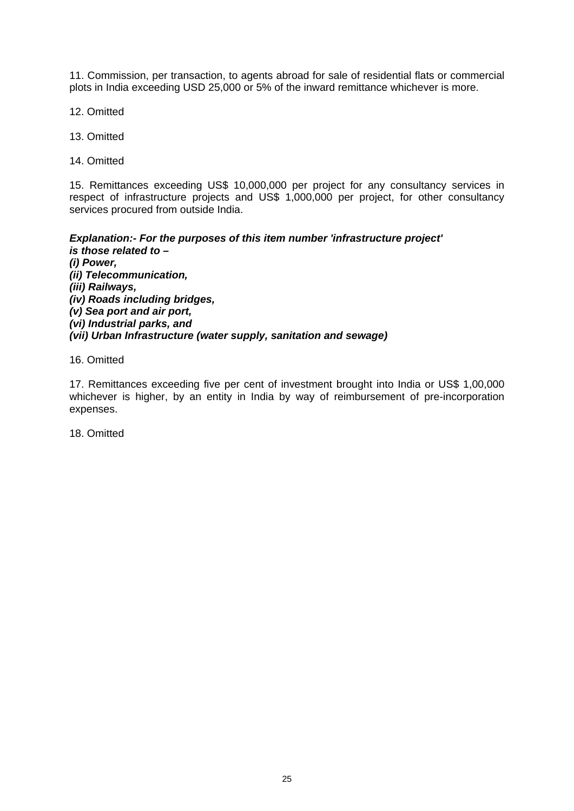11. Commission, per transaction, to agents abroad for sale of residential flats or commercial plots in India exceeding USD 25,000 or 5% of the inward remittance whichever is more.

12. Omitted

13. Omitted

14. Omitted

15. Remittances exceeding US\$ 10,000,000 per project for any consultancy services in respect of infrastructure projects and US\$ 1,000,000 per project, for other consultancy services procured from outside India.

*Explanation:- For the purposes of this item number 'infrastructure project' is those related to – (i) Power, (ii) Telecommunication, (iii) Railways, (iv) Roads including bridges, (v) Sea port and air port, (vi) Industrial parks, and (vii) Urban Infrastructure (water supply, sanitation and sewage)* 

16. Omitted

17. Remittances exceeding five per cent of investment brought into India or US\$ 1,00,000 whichever is higher, by an entity in India by way of reimbursement of pre-incorporation expenses.

18. Omitted